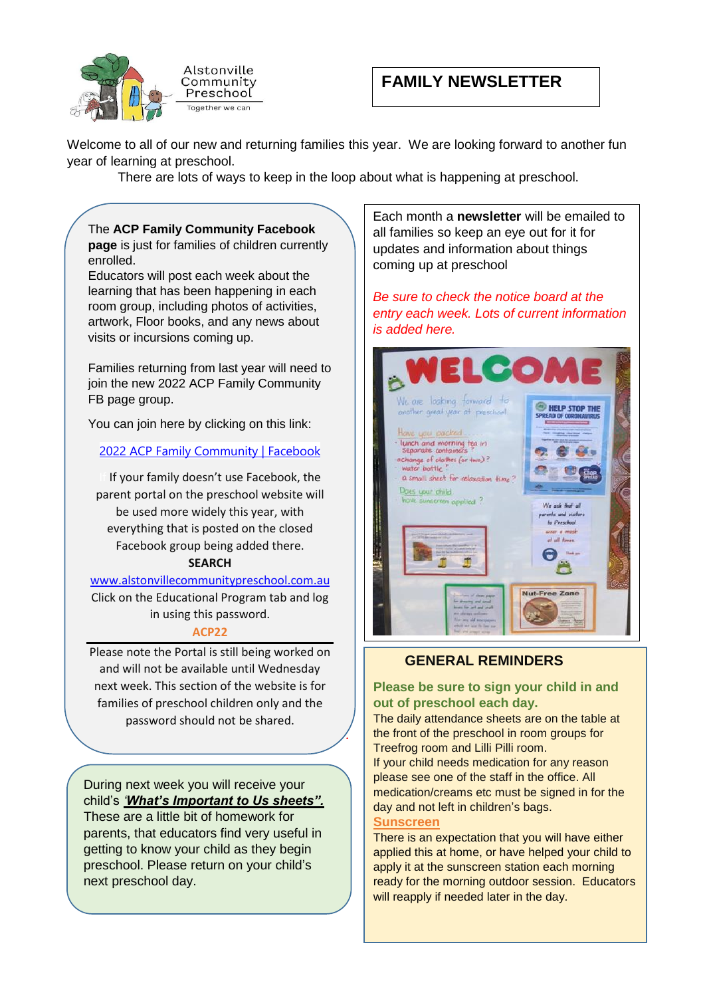

# **FAMILY NEWSLETTER**

Welcome to all of our new and returning families this year. We are looking forward to another fun year of learning at preschool. ear. we are looking forward to ai

 There are lots of ways to keep in the loop about what is happening at preschool. ut what is ha

#### The **ACP Family Community Facebook**

**page** is just for families of children currently enrolled.

Educators will post each week about the learning that has been happening in each room group, including photos of activities, artwork, Floor books, and any news about visits or incursions coming up.

Families returning from last year will need to join the new 2022 ACP Family Community FB page group.

You can join here by clicking on this link:

[2022 ACP Family Community | Facebook](https://www.facebook.com/groups/647412776391570)

If your family doesn't use Facebook, the parent portal on the preschool website will be used more widely this year, with everything that is posted on the closed Facebook group being added there. **SEARCH**

[www.alstonvillecommunitypreschool.com.au](http://www.alstonvillecommunitypreschool.com.au/) Click on the Educational Program tab and log in using this password.

#### **ACP22**

Please note the Portal is still being worked on and will not be available until Wednesday next week. This section of the website is for families of preschool children only and the password should not be shared.

*.* 

During next week you will receive your child's *'What's Important to Us sheets".* These are a little bit of homework for parents, that educators find very useful in getting to know your child as they begin preschool. Please return on your child's next preschool day.

Each month a newsletter will be emailed to all families so keep an eye out for it for updates and information about things coming up at preschool

There is an expectation that  $\mathcal{L}_\mathcal{D}$  is an expectation that  $\mathcal{L}_\mathcal{D}$ 

ready for the morning outdoor

Be sure to check the notice board at the entry each week. Lots of current information *is added here. please to sign your child be sure to sign your child be a sign your child be a sign your chair.* 



## **GENERAL REMINDERS**

#### **Please be sure to sign your child in and out of preschool each day.**

The daily attendance sheets are on the table at the front of the preschool in room groups for Treefrog room and Lilli Pilli room.

If your child needs medication for any reason please see one of the staff in the office. All medication/creams etc must be signed in for the day and not left in children's bags.

### **Sunscreen**

There is an expectation that you will have either applied this at home, or have helped your child to apply it at the sunscreen station each morning ready for the morning outdoor session. Educators will reapply if needed later in the day.